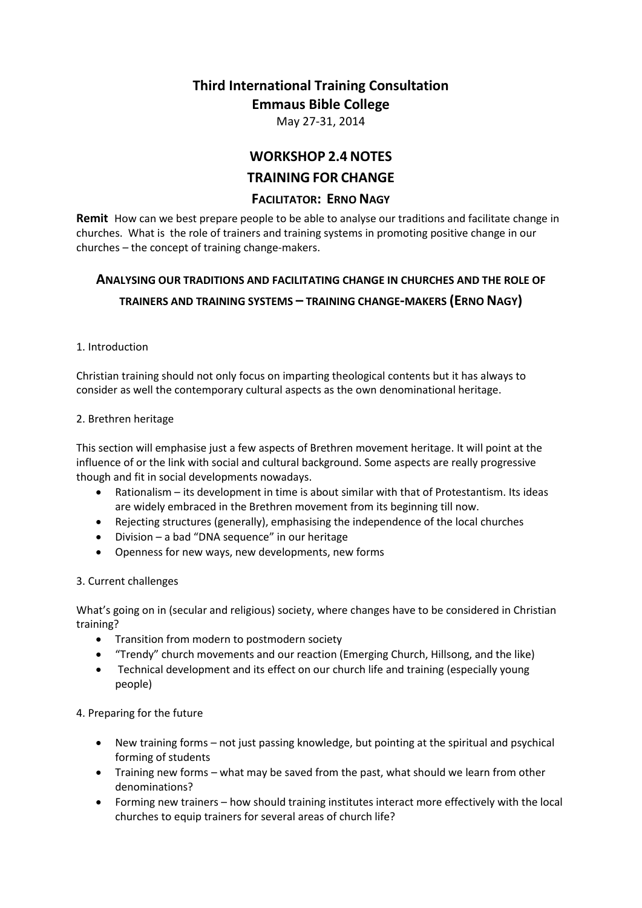# **Third International Training Consultation Emmaus Bible College**

May 27-31, 2014

## **WORKSHOP 2.4 NOTES**

## **TRAINING FOR CHANGE**

## **FACILITATOR: ERNO NAGY**

**Remit** How can we best prepare people to be able to analyse our traditions and facilitate change in churches. What is the role of trainers and training systems in promoting positive change in our churches – the concept of training change-makers.

## **ANALYSING OUR TRADITIONS AND FACILITATING CHANGE IN CHURCHES AND THE ROLE OF TRAINERS AND TRAINING SYSTEMS – TRAINING CHANGE-MAKERS (ERNO NAGY)**

#### 1. Introduction

Christian training should not only focus on imparting theological contents but it has always to consider as well the contemporary cultural aspects as the own denominational heritage.

#### 2. Brethren heritage

This section will emphasise just a few aspects of Brethren movement heritage. It will point at the influence of or the link with social and cultural background. Some aspects are really progressive though and fit in social developments nowadays.

- Rationalism its development in time is about similar with that of Protestantism. Its ideas are widely embraced in the Brethren movement from its beginning till now.
- Rejecting structures (generally), emphasising the independence of the local churches
- Division a bad "DNA sequence" in our heritage
- Openness for new ways, new developments, new forms

## 3. Current challenges

What's going on in (secular and religious) society, where changes have to be considered in Christian training?

- Transition from modern to postmodern society
- "Trendy" church movements and our reaction (Emerging Church, Hillsong, and the like)
- Technical development and its effect on our church life and training (especially young people)

## 4. Preparing for the future

- New training forms not just passing knowledge, but pointing at the spiritual and psychical forming of students
- Training new forms what may be saved from the past, what should we learn from other denominations?
- Forming new trainers how should training institutes interact more effectively with the local churches to equip trainers for several areas of church life?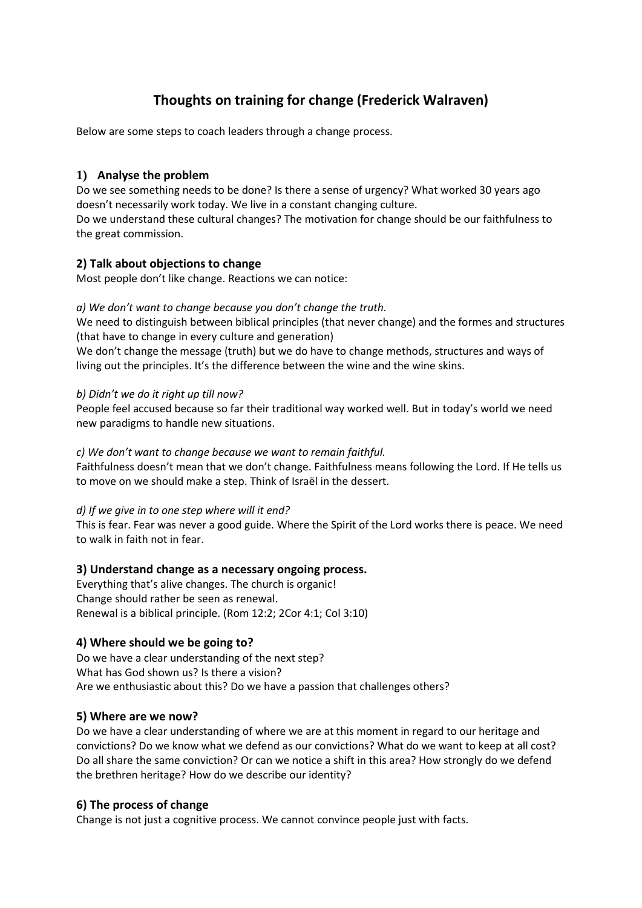## **Thoughts on training for change (Frederick Walraven)**

Below are some steps to coach leaders through a change process.

## **1) Analyse the problem**

Do we see something needs to be done? Is there a sense of urgency? What worked 30 years ago doesn't necessarily work today. We live in a constant changing culture.

Do we understand these cultural changes? The motivation for change should be our faithfulness to the great commission.

## **2) Talk about objections to change**

Most people don't like change. Reactions we can notice:

## *a) We don't want to change because you don't change the truth.*

We need to distinguish between biblical principles (that never change) and the formes and structures (that have to change in every culture and generation)

We don't change the message (truth) but we do have to change methods, structures and ways of living out the principles. It's the difference between the wine and the wine skins.

## *b) Didn't we do it right up till now?*

People feel accused because so far their traditional way worked well. But in today's world we need new paradigms to handle new situations.

#### *c) We don't want to change because we want to remain faithful.*

Faithfulness doesn't mean that we don't change. Faithfulness means following the Lord. If He tells us to move on we should make a step. Think of Israël in the dessert.

## *d) If we give in to one step where will it end?*

This is fear. Fear was never a good guide. Where the Spirit of the Lord works there is peace. We need to walk in faith not in fear.

## **3) Understand change as a necessary ongoing process.**

Everything that's alive changes. The church is organic! Change should rather be seen as renewal. Renewal is a biblical principle. (Rom 12:2; 2Cor 4:1; Col 3:10)

## **4) Where should we be going to?**

Do we have a clear understanding of the next step? What has God shown us? Is there a vision? Are we enthusiastic about this? Do we have a passion that challenges others?

## **5) Where are we now?**

Do we have a clear understanding of where we are at this moment in regard to our heritage and convictions? Do we know what we defend as our convictions? What do we want to keep at all cost? Do all share the same conviction? Or can we notice a shift in this area? How strongly do we defend the brethren heritage? How do we describe our identity?

## **6) The process of change**

Change is not just a cognitive process. We cannot convince people just with facts.